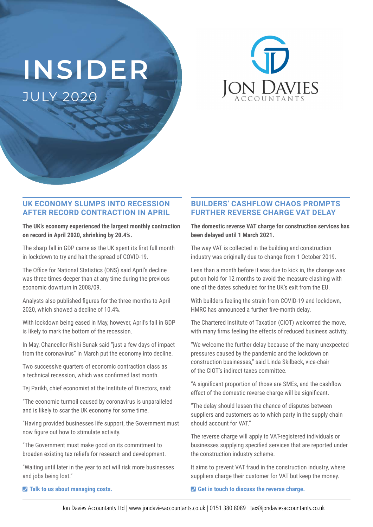# **INSIDER** JULY 2020



## **UK ECONOMY SLUMPS INTO RECESSION AFTER RECORD CONTRACTION IN APRIL**

**The UK's economy experienced the largest monthly contraction on record in April 2020, shrinking by 20.4%.** 

The sharp fall in GDP came as the UK spent its first full month in lockdown to try and halt the spread of COVID-19.

The Office for National Statistics (ONS) said April's decline was three times deeper than at any time during the previous economic downturn in 2008/09.

Analysts also published figures for the three months to April 2020, which showed a decline of 10.4%.

With lockdown being eased in May, however, April's fall in GDP is likely to mark the bottom of the recession.

In May, Chancellor Rishi Sunak said "just a few days of impact from the coronavirus" in March put the economy into decline.

Two successive quarters of economic contraction class as a technical recession, which was confirmed last month.

Tej Parikh, chief economist at the Institute of Directors, said:

"The economic turmoil caused by coronavirus is unparalleled and is likely to scar the UK economy for some time.

"Having provided businesses life support, the Government must now figure out how to stimulate activity.

"The Government must make good on its commitment to broaden existing tax reliefs for research and development.

"Waiting until later in the year to act will risk more businesses and jobs being lost."

#### ¶ **Talk to us about managing costs.**

## **BUILDERS' CASHFLOW CHAOS PROMPTS FURTHER REVERSE CHARGE VAT DELAY**

**The domestic reverse VAT charge for construction services has been delayed until 1 March 2021.**

The way VAT is collected in the building and construction industry was originally due to change from 1 October 2019.

Less than a month before it was due to kick in, the change was put on hold for 12 months to avoid the measure clashing with one of the dates scheduled for the UK's exit from the EU.

With builders feeling the strain from COVID-19 and lockdown, HMRC has announced a further five-month delay.

The Chartered Institute of Taxation (CIOT) welcomed the move, with many firms feeling the effects of reduced business activity.

"We welcome the further delay because of the many unexpected pressures caused by the pandemic and the lockdown on construction businesses," said Linda Skilbeck, vice-chair of the CIOT's indirect taxes committee.

"A significant proportion of those are SMEs, and the cashflow effect of the domestic reverse charge will be significant.

"The delay should lessen the chance of disputes between suppliers and customers as to which party in the supply chain should account for VAT."

The reverse charge will apply to VAT-registered individuals or businesses supplying specified services that are reported under the construction industry scheme.

It aims to prevent VAT fraud in the construction industry, where suppliers charge their customer for VAT but keep the money.

#### ¶ **Get in touch to discuss the reverse charge.**